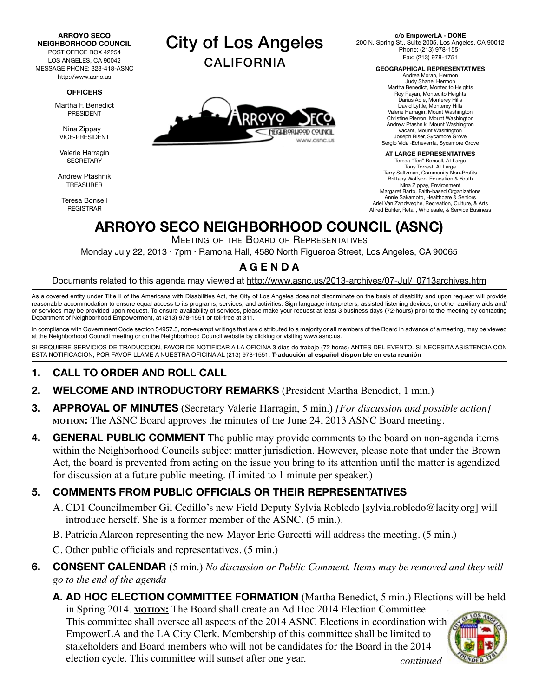#### **ARROYO SECO**

**NEIGHBORHOOD COUNCIL** POST OFFICE BOX 42254 LOS ANGELES, CA 90042

MESSAGE PHONE: 323-418-ASNC http://www.asnc.us

#### **OFFICERS**

Martha F. Benedict PRESIDENT

Nina Zippay VICE-PRESIDENT

Valerie Harragin **SECRETARY** 

Andrew Ptashnik TREASURER

Teresa Bonsell REGISTRAR

City of Los Angeles CALIFORNIA



**c/o EmpowerLA - DONE** 200 N. Spring St., Suite 2005, Los Angeles, CA 90012 Phone: (213) 978-1551 Fax: (213) 978-1751

**GEOGRAPHICAL REPRESENTATIVES**

Andrea Moran, Hermon Judy Shane, Hermon Martha Benedict, Montecito Heights Roy Payan, Montecito Heights Darius Adle, Monterey Hills David Lyttle, Monterey Hills Valerie Harragin, Mount Washington Christine Pierron, Mount Washington Andrew Ptashnik, Mount Washington vacant, Mount Washington Joseph Riser, Sycamore Grove Sergio Vidal-Echeverria, Sycamore Grove

#### **AT LARGE REPRESENTATIVES**

Teresa "Teri" Bonsell, At Large Tony Torrest, At Large Terry Saltzman, Community Non-Profits Brittany Wolfson, Education & Youth Nina Zippay, Environment Margaret Barto, Faith-based Organizations Annie Sakamoto, Healthcare & Seniors Ariel Van Zandweghe, Recreation, Culture, & Arts Alfred Buhler, Retail, Wholesale, & Service Business

# **ARROYO SECO NEIGHBORHOOD COUNCIL (ASNC)**

Meeting of the Board of Representatives

Monday July 22, 2013 · 7pm · Ramona Hall, 4580 North Figueroa Street, Los Angeles, CA 90065

## **A G E N D A**

Documents related to this agenda may viewed at http://www.asnc.us/2013-archives/07-Jul/\_0713archives.htm

As a covered entity under Title II of the Americans with Disabilities Act, the City of Los Angeles does not discriminate on the basis of disability and upon request will provide reasonable accommodation to ensure equal access to its programs, services, and activities. Sign language interpreters, assisted listening devices, or other auxiliary aids and/ or services may be provided upon request. To ensure availability of services, please make your request at least 3 business days (72-hours) prior to the meeting by contacting Department of Neighborhood Empowerment, at (213) 978-1551 or toll-free at 311.

In compliance with Government Code section 54957.5, non-exempt writings that are distributed to a majority or all members of the Board in advance of a meeting, may be viewed at the Neighborhood Council meeting or on the Neighborhood Council website by clicking or visiting www.asnc.us.

SI REQUIERE SERVICIOS DE TRADUCCION, FAVOR DE NOTIFICAR A LA OFICINA 3 días de trabajo (72 horas) ANTES DEL EVENTO. SI NECESITA ASISTENCIA CON ESTA NOTIFICACION, POR FAVOR LLAME A NUESTRA OFICINA AL (213) 978-1551. **Traducción al español disponible en esta reunión**

## **1. CALL TO ORDER AND ROLL CALL**

- **2. WELCOME AND INTRODUCTORY REMARKS** (President Martha Benedict, 1 min.)
- **3. APPROVAL OF MINUTES** (Secretary Valerie Harragin, 5 min.) *[For discussion and possible action]*  **MOTION:** The ASNC Board approves the minutes of the June 24, 2013 ASNC Board meeting.
- **4. GENERAL PUBLIC COMMENT** The public may provide comments to the board on non-agenda items within the Neighborhood Councils subject matter jurisdiction. However, please note that under the Brown Act, the board is prevented from acting on the issue you bring to its attention until the matter is agendized for discussion at a future public meeting. (Limited to 1 minute per speaker.)

## **5. COMMENTS FROM PUBLIC OFFICIALS OR THEIR REPRESENTATIVES**

- A. CD1 Councilmember Gil Cedillo's new Field Deputy Sylvia Robledo [sylvia.robledo@lacity.org] will introduce herself. She is a former member of the ASNC. (5 min.).
- B. Patricia Alarcon representing the new Mayor Eric Garcetti will address the meeting. (5 min.)
- C. Other public officials and representatives. (5 min.)
- **6. CONSENT CALENDAR** (5 min.) *No discussion or Public Comment. Items may be removed and they will go to the end of the agenda*
	- **A. AD HOC ELECTION COMMITTEE FORMATION** (Martha Benedict, 5 min.) Elections will be held in Spring 2014. **motion:** The Board shall create an Ad Hoc 2014 Election Committee.

This committee shall oversee all aspects of the 2014 ASNC Elections in coordination with EmpowerLA and the LA City Clerk. Membership of this committee shall be limited to stakeholders and Board members who will not be candidates for the Board in the 2014 election cycle. This committee will sunset after one year. *continued*

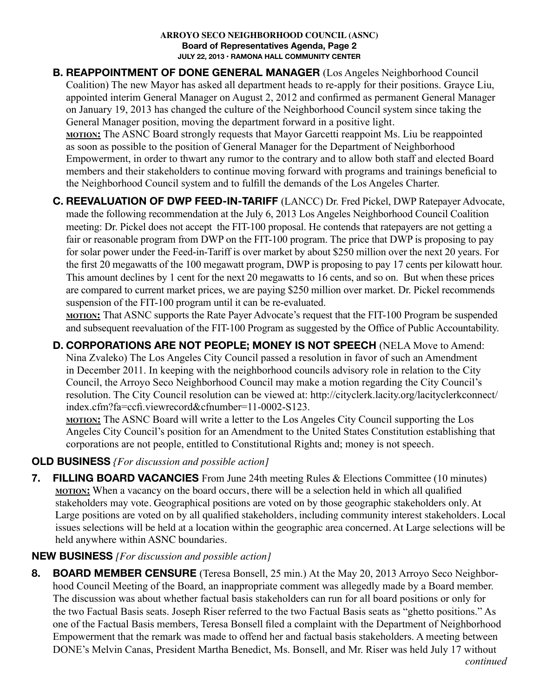### **ARROYO SECO NEIGHBORHOOD COUNCIL (ASNC) Board of Representatives Agenda, Page 2 JULY 22, 2013 • RAMONA HALL COMMUNITY CENTER**

**B. REAPPOINTMENT OF DONE GENERAL MANAGER** (Los Angeles Neighborhood Council Coalition) The new Mayor has asked all department heads to re-apply for their positions. Grayce Liu, appointed interim General Manager on August 2, 2012 and confirmed as permanent General Manager on January 19, 2013 has changed the culture of the Neighborhood Council system since taking the General Manager position, moving the department forward in a positive light*.* **motion:** The ASNC Board strongly requests that Mayor Garcetti reappoint Ms. Liu be reappointed as soon as possible to the position of General Manager for the Department of Neighborhood

Empowerment, in order to thwart any rumor to the contrary and to allow both staff and elected Board members and their stakeholders to continue moving forward with programs and trainings beneficial to the Neighborhood Council system and to fulfill the demands of the Los Angeles Charter.

**C. REEVALUATION OF DWP FEED-IN-TARIFF** (LANCC) Dr. Fred Pickel, DWP Ratepayer Advocate, made the following recommendation at the July 6, 2013 Los Angeles Neighborhood Council Coalition meeting: Dr. Pickel does not accept the FIT-100 proposal. He contends that ratepayers are not getting a fair or reasonable program from DWP on the FIT-100 program. The price that DWP is proposing to pay for solar power under the Feed-in-Tariff is over market by about \$250 million over the next 20 years. For the first 20 megawatts of the 100 megawatt program, DWP is proposing to pay 17 cents per kilowatt hour. This amount declines by 1 cent for the next 20 megawatts to 16 cents, and so on. But when these prices are compared to current market prices, we are paying \$250 million over market. Dr. Pickel recommends suspension of the FIT-100 program until it can be re-evaluated.

**motion:** That ASNC supports the Rate Payer Advocate's request that the FIT-100 Program be suspended and subsequent reevaluation of the FIT-100 Program as suggested by the Office of Public Accountability.

**D. CORPORATIONS ARE NOT PEOPLE; MONEY IS NOT SPEECH** (NELA Move to Amend: Nina Zvaleko) The Los Angeles City Council passed a resolution in favor of such an Amendment in December 2011. In keeping with the neighborhood councils advisory role in relation to the City Council, the Arroyo Seco Neighborhood Council may make a motion regarding the City Council's resolution. The City Council resolution can be viewed at: http://cityclerk.lacity.org/lacityclerkconnect/ index.cfm?fa=ccfi.viewrecord&cfnumber=11-0002-S123.

**motion:** The ASNC Board will write a letter to the Los Angeles City Council supporting the Los Angeles City Council's position for an Amendment to the United States Constitution establishing that corporations are not people, entitled to Constitutional Rights and; money is not speech.

## **OLD BUSINESS** *{For discussion and possible action]*

**7. FILLING BOARD VACANCIES** From June 24th meeting Rules & Elections Committee (10 minutes) **motion:** When a vacancy on the board occurs, there will be a selection held in which all qualified stakeholders may vote. Geographical positions are voted on by those geographic stakeholders only. At Large positions are voted on by all qualified stakeholders, including community interest stakeholders. Local issues selections will be held at a location within the geographic area concerned. At Large selections will be held anywhere within ASNC boundaries.

## **NEW BUSINESS** *[For discussion and possible action]*

**8. BOARD MEMBER CENSURE** (Teresa Bonsell, 25 min.) At the May 20, 2013 Arroyo Seco Neighborhood Council Meeting of the Board, an inappropriate comment was allegedly made by a Board member. The discussion was about whether factual basis stakeholders can run for all board positions or only for the two Factual Basis seats. Joseph Riser referred to the two Factual Basis seats as "ghetto positions." As one of the Factual Basis members, Teresa Bonsell filed a complaint with the Department of Neighborhood Empowerment that the remark was made to offend her and factual basis stakeholders. A meeting between DONE's Melvin Canas, President Martha Benedict, Ms. Bonsell, and Mr. Riser was held July 17 without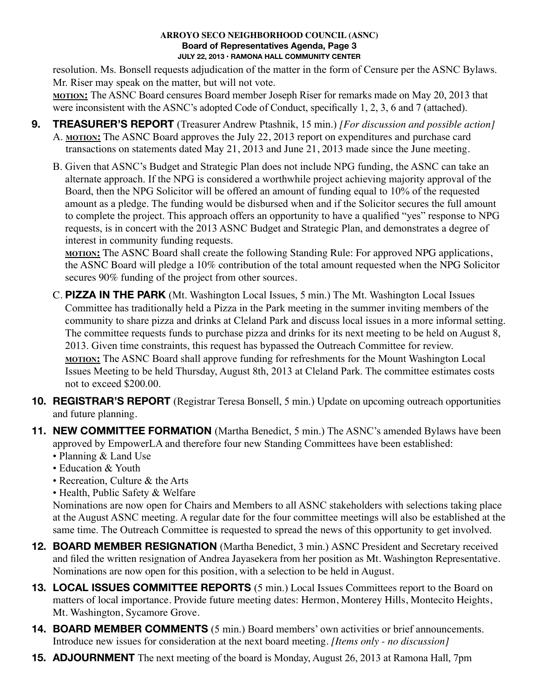#### **ARROYO SECO NEIGHBORHOOD COUNCIL (ASNC) Board of Representatives Agenda, Page 3 JULY 22, 2013 • RAMONA HALL COMMUNITY CENTER**

resolution. Ms. Bonsell requests adjudication of the matter in the form of Censure per the ASNC Bylaws. Mr. Riser may speak on the matter, but will not vote.

**motion:** The ASNC Board censures Board member Joseph Riser for remarks made on May 20, 2013 that were inconsistent with the ASNC's adopted Code of Conduct, specifically 1, 2, 3, 6 and 7 (attached).

- **9. TREASURER'S REPORT** (Treasurer Andrew Ptashnik, 15 min.) *[For discussion and possible action]* A. **motion:** The ASNC Board approves the July 22, 2013 report on expenditures and purchase card transactions on statements dated May 21, 2013 and June 21, 2013 made since the June meeting.
	- B. Given that ASNC's Budget and Strategic Plan does not include NPG funding, the ASNC can take an alternate approach. If the NPG is considered a worthwhile project achieving majority approval of the Board, then the NPG Solicitor will be offered an amount of funding equal to 10% of the requested amount as a pledge. The funding would be disbursed when and if the Solicitor secures the full amount to complete the project. This approach offers an opportunity to have a qualified "yes" response to NPG requests, is in concert with the 2013 ASNC Budget and Strategic Plan, and demonstrates a degree of interest in community funding requests.

**motion:** The ASNC Board shall create the following Standing Rule: For approved NPG applications, the ASNC Board will pledge a 10% contribution of the total amount requested when the NPG Solicitor secures 90% funding of the project from other sources.

- C. **PIZZA IN THE PARK** (Mt. Washington Local Issues, 5 min.) The Mt. Washington Local Issues Committee has traditionally held a Pizza in the Park meeting in the summer inviting members of the community to share pizza and drinks at Cleland Park and discuss local issues in a more informal setting. The committee requests funds to purchase pizza and drinks for its next meeting to be held on August 8, 2013. Given time constraints, this request has bypassed the Outreach Committee for review. **motion:** The ASNC Board shall approve funding for refreshments for the Mount Washington Local Issues Meeting to be held Thursday, August 8th, 2013 at Cleland Park. The committee estimates costs not to exceed \$200.00.
- **10. REGISTRAR'S REPORT** (Registrar Teresa Bonsell, 5 min.) Update on upcoming outreach opportunities and future planning.
- **11. NEW COMMITTEE FORMATION** (Martha Benedict, 5 min.) The ASNC's amended Bylaws have been approved by EmpowerLA and therefore four new Standing Committees have been established:
	- Planning & Land Use
	- Education & Youth
	- Recreation, Culture & the Arts
	- Health, Public Safety & Welfare

Nominations are now open for Chairs and Members to all ASNC stakeholders with selections taking place at the August ASNC meeting. A regular date for the four committee meetings will also be established at the same time. The Outreach Committee is requested to spread the news of this opportunity to get involved.

- **12. BOARD MEMBER RESIGNATION** (Martha Benedict, 3 min.) ASNC President and Secretary received and filed the written resignation of Andrea Jayasekera from her position as Mt. Washington Representative. Nominations are now open for this position, with a selection to be held in August.
- **13. LOCAL ISSUES COMMITTEE REPORTS** (5 min.) Local Issues Committees report to the Board on matters of local importance. Provide future meeting dates: Hermon, Monterey Hills, Montecito Heights, Mt. Washington, Sycamore Grove.
- **14. BOARD MEMBER COMMENTS** (5 min.) Board members' own activities or brief announcements. Introduce new issues for consideration at the next board meeting. *[Items only - no discussion]*
- **15. ADJOURNMENT** The next meeting of the board is Monday, August 26, 2013 at Ramona Hall, 7pm